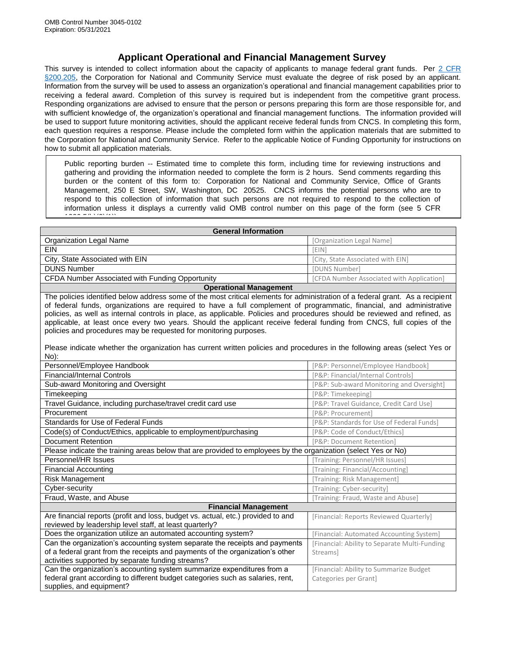## **Applicant Operational and Financial Management Survey**

This survey is intended to collect information about the capacity of applicants to manage federal grant funds. Per 2 CFR [§200.205,](https://ecfr.io/Title-02/se2.1.200_1205) the Corporation for National and Community Service must evaluate the degree of risk posed by an applicant. Information from the survey will be used to assess an organization's operational and financial management capabilities prior to receiving a federal award. Completion of this survey is required but is independent from the competitive grant process. Responding organizations are advised to ensure that the person or persons preparing this form are those responsible for, and with sufficient knowledge of, the organization's operational and financial management functions. The information provided will be used to support future monitoring activities, should the applicant receive federal funds from CNCS. In completing this form, each question requires a response. Please include the completed form within the application materials that are submitted to the Corporation for National and Community Service. Refer to the applicable Notice of Funding Opportunity for instructions on how to submit all application materials.

Public reporting burden -- Estimated time to complete this form, including time for reviewing instructions and gathering and providing the information needed to complete the form is 2 hours. Send comments regarding this burden or the content of this form to: Corporation for National and Community Service, Office of Grants Management, 250 E Street, SW, Washington, DC 20525. CNCS informs the potential persons who are to respond to this collection of information that such persons are not required to respond to the collection of information unless it displays a currently valid OMB control number on this page of the form (see 5 CFR  $13325 - 6$ (1)(b)(2)(b)

| <b>General Information</b>                      |                                           |
|-------------------------------------------------|-------------------------------------------|
| Organization Legal Name                         | [Organization Legal Name]                 |
| <b>EIN</b>                                      | <b>FEIN</b>                               |
| City, State Associated with EIN                 | [City, State Associated with EIN]         |
| <b>DUNS Number</b>                              | [DUNS Number]                             |
| CFDA Number Associated with Funding Opportunity | [CFDA Number Associated with Application] |
| <b>Operational Management</b>                   |                                           |

The policies identified below address some of the most critical elements for administration of a federal grant. As a recipient of federal funds, organizations are required to have a full complement of programmatic, financial, and administrative policies, as well as internal controls in place, as applicable. Policies and procedures should be reviewed and refined, as applicable, at least once every two years. Should the applicant receive federal funding from CNCS, full copies of the policies and procedures may be requested for monitoring purposes.

Please indicate whether the organization has current written policies and procedures in the following areas (select Yes or No):

| Personnel/Employee Handbook                                                                                    | [P&P: Personnel/Employee Handbook]                  |  |
|----------------------------------------------------------------------------------------------------------------|-----------------------------------------------------|--|
| <b>Financial/Internal Controls</b>                                                                             | [P&P: Financial/Internal Controls]                  |  |
| Sub-award Monitoring and Oversight                                                                             | [P&P: Sub-award Monitoring and Oversight]           |  |
| Timekeeping                                                                                                    | [P&P: Timekeeping]                                  |  |
| Travel Guidance, including purchase/travel credit card use                                                     | [P&P: Travel Guidance, Credit Card Use]             |  |
| Procurement                                                                                                    | [P&P: Procurement]                                  |  |
| Standards for Use of Federal Funds                                                                             | [P&P: Standards for Use of Federal Funds]           |  |
| Code(s) of Conduct/Ethics, applicable to employment/purchasing                                                 | [P&P: Code of Conduct/Ethics]                       |  |
| Document Retention                                                                                             | [P&P: Document Retention]                           |  |
| Please indicate the training areas below that are provided to employees by the organization (select Yes or No) |                                                     |  |
| Personnel/HR Issues                                                                                            | Training: Personnel/HR Issues]                      |  |
| <b>Financial Accounting</b>                                                                                    | [Training: Financial/Accounting]                    |  |
| Risk Management                                                                                                | Training: Risk Management]                          |  |
| Cyber-security                                                                                                 | [Training: Cyber-security]                          |  |
| Fraud, Waste, and Abuse                                                                                        | [Training: Fraud, Waste and Abuse]                  |  |
| <b>Financial Management</b>                                                                                    |                                                     |  |
| Are financial reports (profit and loss, budget vs. actual, etc.) provided to and                               | [Financial: Reports Reviewed Quarterly]             |  |
| reviewed by leadership level staff, at least quarterly?                                                        |                                                     |  |
| Does the organization utilize an automated accounting system?                                                  | [Financial: Automated Accounting System]            |  |
| Can the organization's accounting system separate the receipts and payments                                    | <b>Financial: Ability to Separate Multi-Funding</b> |  |
| of a federal grant from the receipts and payments of the organization's other                                  | Streamsl                                            |  |
| activities supported by separate funding streams?                                                              |                                                     |  |
| Can the organization's accounting system summarize expenditures from a                                         | [Financial: Ability to Summarize Budget             |  |
| federal grant according to different budget categories such as salaries, rent,                                 | Categories per Grant]                               |  |
| supplies, and equipment?                                                                                       |                                                     |  |